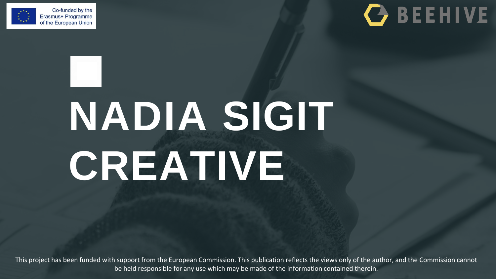

### **C** BEEHIVE

## **NADIA SIGIT CREATIVE**

This project has been funded with support from the European Commission. This publication reflects the views only of the author, and the Commission cannot be held responsible for any use which may be made of the information contained therein.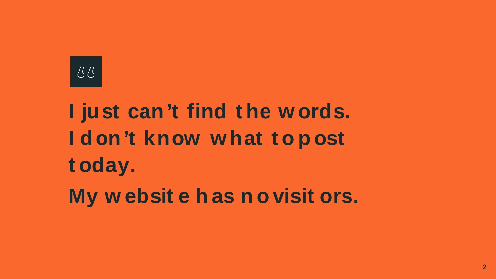

### **I just can't find t he w ords. I don't know w hat t o p ost t oday. My w ebsit e h as n o visit ors.**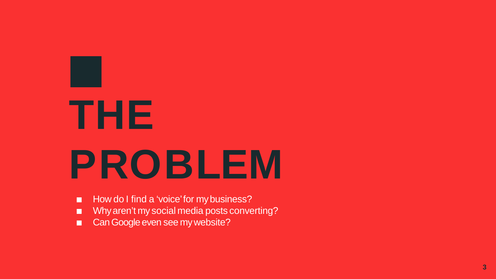## **THE PRO B LEM**

- How do I find a 'voice' for my business?
- Why aren't my social media posts converting?
- Can Google even see my website?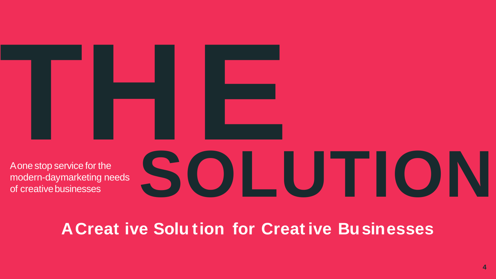

A one stop service for the modern-daymarketing needs of creative businesses

# SOLUITON

#### **A Creat ive Solution for Creative Businesses**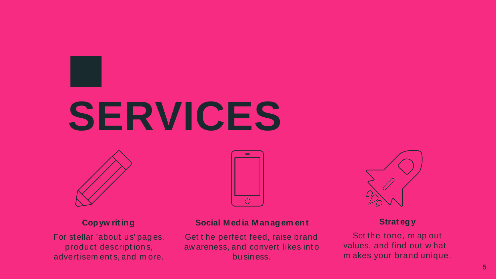### **SERVICES**



#### **Copyw riting**

For stellar 'about us' pag es, product descript ion s, advert isem ent s, and m ore.



#### **Social Media Managem ent**

Get t he perfect feed, raise brand aw areness, and convert likes int o bu siness.



#### **Strat egy**

Set the tone, m ap out values, and find out w hat m akes your brand unique.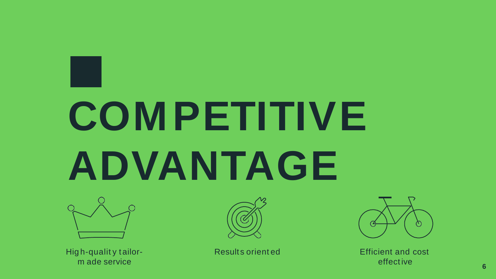## **COMPETITIVE** ADVANTAGE



High-quality tailorm ade service



Results oriented



**Efficient and cost** effective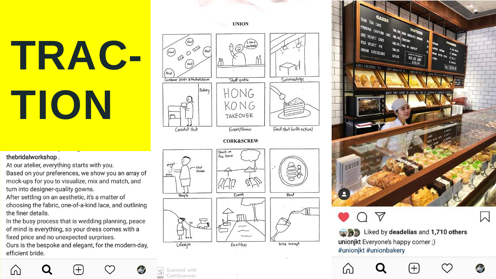TRAC-TION

thebridalworkshop.

ſn

At our atelier, everything starts with you. Based on your preferences, we show you an array of mock-ups for you to visualize, mix and match, and turn into designer-quality gowns.

After settling on an aesthetic, it's a matter of choosing the fabric, one-of-a-kind lace, and outlining the finer details.

In the busy process that is wedding planning, peace of mind is everything, so your dress comes with a fixed price and no unexpected surprises.

Ours is the bespoke and elegant, for the modern-day, efficient bride.

 $\left(\begin{smallmatrix} 0 & 0 \\ 0 & 0 \end{smallmatrix}\right)$ **R**  $(\mathsf{Food})$  $\circ$  $F(\mathbf{e}_i)$ Customer photo # Media Union Staff profile Surroundings Bokery HONG KONG **TAKEOVER** Food shot (with action) Candid shot Event/Promo

**UNION** 

**CORK&SCREW** 

Bruch on the lawn ÷ Nando  $\Rightarrow$ People Event Food 豆 Liferyle Facilities Wine concept

Scanned with

CamScanner



**A B** Liked by deadelias and 1,710 others unionjkt Everyone's happy corner;) #unionjkt #unionbakery

ſn.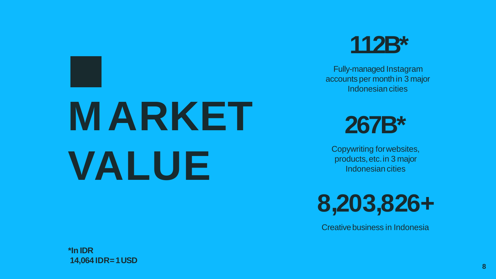## **MARKET VALUE**

### **112B\***

Fully-managed Instagram accounts per month in 3 major Indonesian cities

### **267B\***

Copywriting forwebsites, products,etc.in 3 major Indonesian cities

**8,203,826+**

Creative business in Indonesia

**\*In IDR 14,064 IDR=1USD**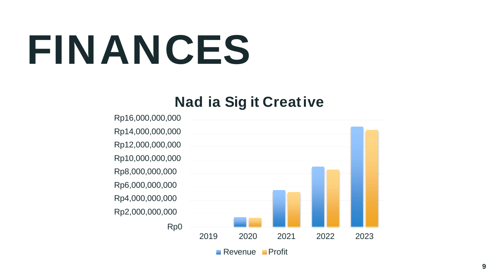## **FINANCES**

#### **Nad ia Sig it Creative**

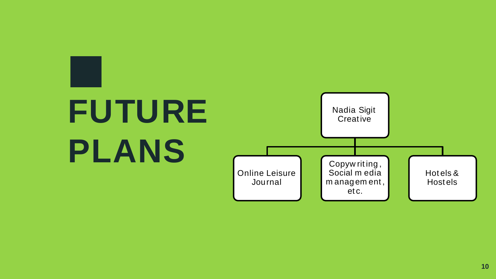### **FUTURE PLANS**